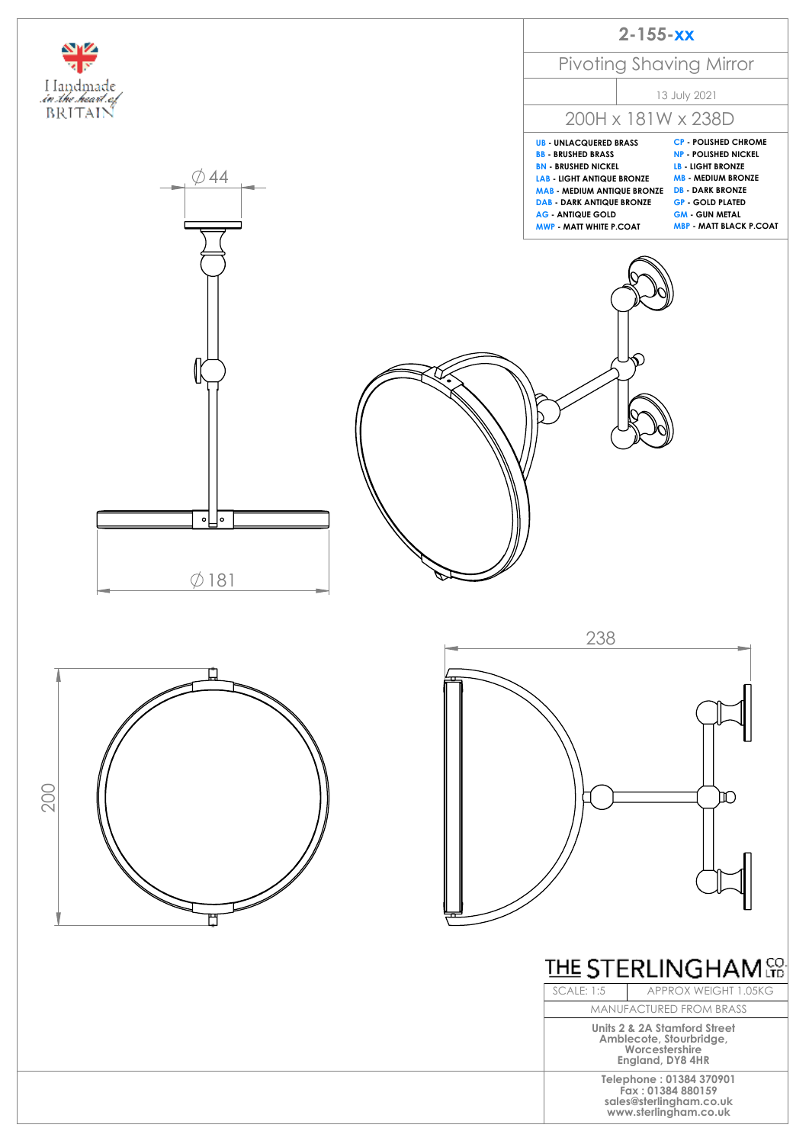